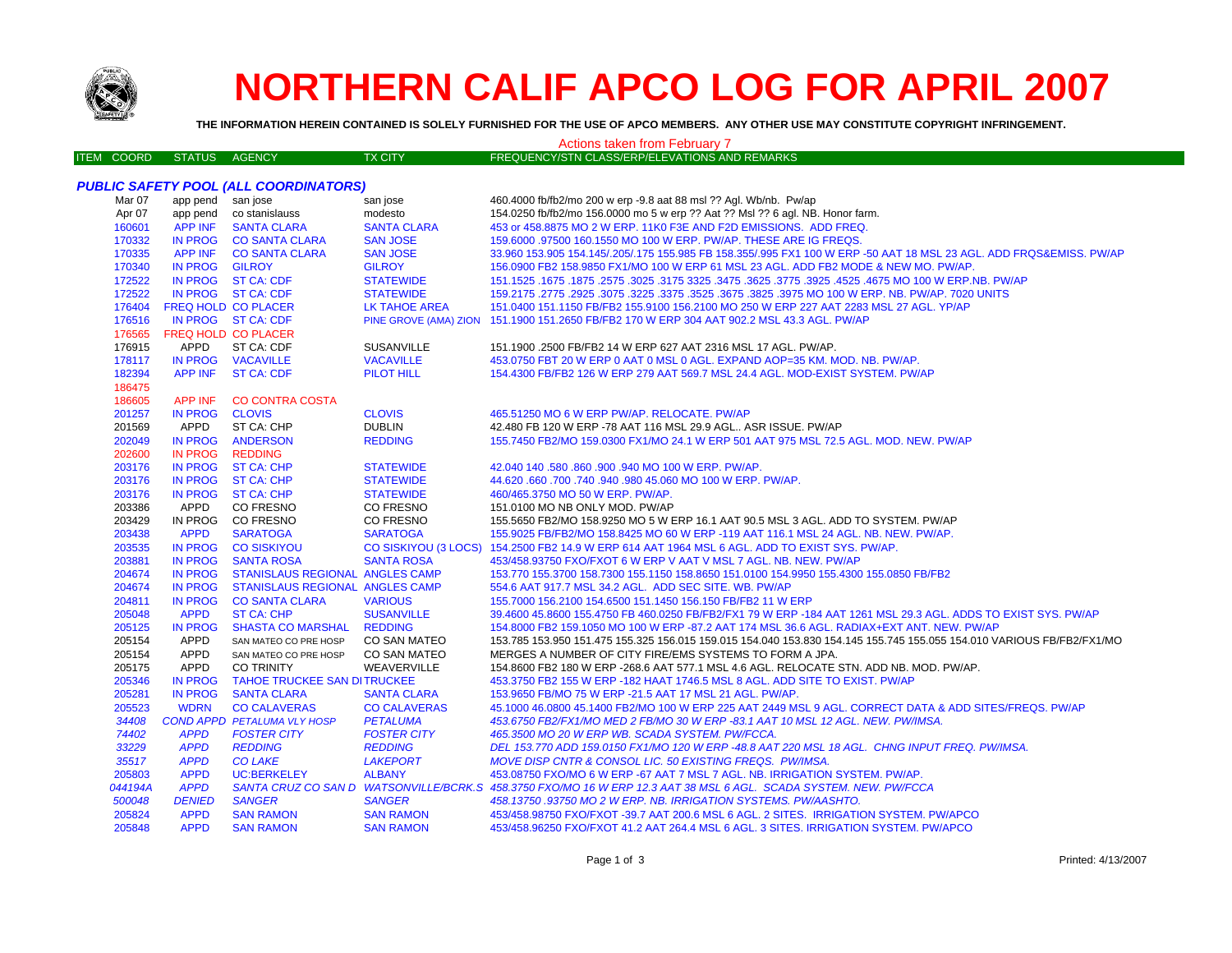

## **NORTHERN CALIF APCO LOG FOR APRIL 2007**

**THE INFORMATION HEREIN CONTAINED IS SOLELY FURNISHED FOR THE USE OF APCO MEMBERS. ANY OTHER USE MAY CONSTITUTE COPYRIGHT INFRINGEMENT.**

| <b>Actions taken from February 7</b> |                   |                     |                                         |                      |                                                                                                                       |  |
|--------------------------------------|-------------------|---------------------|-----------------------------------------|----------------------|-----------------------------------------------------------------------------------------------------------------------|--|
|                                      | <b>ITEM COORD</b> | <b>STATUS</b>       | AGENCY                                  | <b>TX CITY</b>       | FREQUENCY/STN CLASS/ERP/ELEVATIONS AND REMARKS                                                                        |  |
|                                      |                   |                     |                                         |                      |                                                                                                                       |  |
|                                      |                   |                     | PUBLIC SAFETY POOL (ALL COORDINATORS)   |                      |                                                                                                                       |  |
|                                      | Mar 07            | app pend san jose   |                                         | san jose             | 460.4000 fb/fb2/mo 200 w erp -9.8 aat 88 msl ?? Agl. Wb/nb. Pw/ap                                                     |  |
|                                      | Apr 07            |                     | app pend co stanislauss                 | modesto              | 154.0250 fb/fb2/mo 156.0000 mo 5 w erp ?? Aat ?? Msl ?? 6 agl. NB. Honor farm.                                        |  |
|                                      | 160601            | <b>APP INF</b>      | <b>SANTA CLARA</b>                      | <b>SANTA CLARA</b>   | 453 or 458.8875 MO 2 W ERP. 11K0 F3E AND F2D EMISSIONS. ADD FREQ.                                                     |  |
|                                      | 170332            |                     | IN PROG CO SANTA CLARA                  | <b>SAN JOSE</b>      | 159.6000 .97500 160.1550 MO 100 W ERP. PW/AP. THESE ARE IG FREQS.                                                     |  |
|                                      | 170335            |                     | APP INF CO SANTA CLARA                  | <b>SAN JOSE</b>      | 33.960 153.905 154.145/.205/.175 155.985 FB 158.355/.995 FX1 100 W ERP -50 AAT 18 MSL 23 AGL. ADD FRQS&EMISS. PW/AP   |  |
|                                      | 170340            | IN PROG GILROY      |                                         | <b>GILROY</b>        | 156.0900 FB2 158.9850 FX1/MO 100 W ERP 61 MSL 23 AGL. ADD FB2 MODE & NEW MO. PW/AP.                                   |  |
|                                      | 172522            |                     | IN PROG ST CA: CDF                      | <b>STATEWIDE</b>     | 151.1525 .1675 .1677 .3325 .4525 .4525 .3925 .3775 .3625 .3775 .3625 .3775 .3925 .1675 .1677 .1625 .1679 .167         |  |
|                                      | 172522            |                     | IN PROG ST CA: CDF                      | <b>STATEWIDE</b>     | 159.2175 .2775 .2925 .3075 .3225 .3675 .3675 .3625 .3975 MO 100 W ERP. NB. PW/AP. 7020 UNITS                          |  |
|                                      | 176404            | FREQ HOLD CO PLACER |                                         | <b>LK TAHOE AREA</b> | 151.0400 151.1150 FB/FB2 155.9100 156.2100 MO 250 W ERP 227 AAT 2283 MSL 27 AGL. YP/AP                                |  |
|                                      | 176516            |                     | IN PROG ST CA: CDF                      |                      | PINE GROVE (AMA) ZION 151.1900 151.2650 FB/FB2 170 W ERP 304 AAT 902.2 MSL 43.3 AGL. PW/AP                            |  |
|                                      | 176565            | FREQ HOLD CO PLACER |                                         |                      |                                                                                                                       |  |
|                                      | 176915            | APPD                | ST CA: CDF                              | <b>SUSANVILLE</b>    | 151.1900 .2500 FB/FB2 14 W ERP 627 AAT 2316 MSL 17 AGL. PW/AP.                                                        |  |
|                                      | 178117            |                     | IN PROG VACAVILLE                       | <b>VACAVILLE</b>     | 453.0750 FBT 20 W ERP 0 AAT 0 MSL 0 AGL. EXPAND AOP=35 KM. MOD. NB. PW/AP.                                            |  |
|                                      | 182394            |                     | APP INF ST CA: CDF                      | <b>PILOT HILL</b>    | 154.4300 FB/FB2 126 W ERP 279 AAT 569.7 MSL 24.4 AGL, MOD-EXIST SYSTEM, PW/AP                                         |  |
|                                      | 186475            |                     |                                         |                      |                                                                                                                       |  |
|                                      | 186605            | APP INF             | <b>CO CONTRA COSTA</b>                  |                      |                                                                                                                       |  |
|                                      | 201257            | IN PROG CLOVIS      |                                         | <b>CLOVIS</b>        | 465.51250 MO 6 W ERP PW/AP. RELOCATE. PW/AP                                                                           |  |
|                                      | 201569            | APPD                | ST CA: CHP                              | <b>DUBLIN</b>        | 42.480 FB 120 W ERP -78 AAT 116 MSL 29.9 AGL., ASR ISSUE, PW/AP                                                       |  |
|                                      | 202049            |                     | IN PROG ANDERSON                        | <b>REDDING</b>       | 155.7450 FB2/MO 159.0300 FX1/MO 24.1 W ERP 501 AAT 975 MSL 72.5 AGL, MOD, NEW, PW/AP                                  |  |
|                                      | 202600            | IN PROG REDDING     |                                         |                      |                                                                                                                       |  |
|                                      | 203176            |                     | IN PROG ST CA: CHP                      | <b>STATEWIDE</b>     | 42.040 140 .580 .860 .900 .940 MO 100 W ERP. PW/AP.                                                                   |  |
|                                      | 203176            |                     | IN PROG ST CA: CHP                      | <b>STATEWIDE</b>     | 44.620 .660 .700 .740 .940 .980 45.060 MO 100 W ERP. PW/AP.                                                           |  |
|                                      | 203176            |                     | IN PROG ST CA: CHP                      | <b>STATEWIDE</b>     | 460/465.3750 MO 50 W ERP. PW/AP.                                                                                      |  |
|                                      | 203386            | APPD                | CO FRESNO                               | CO FRESNO            | 151.0100 MO NB ONLY MOD. PW/AP                                                                                        |  |
|                                      | 203429            |                     | IN PROG CO FRESNO                       | CO FRESNO            | 155.5650 FB2/MO 158.9250 MO 5 W ERP 16.1 AAT 90.5 MSL 3 AGL. ADD TO SYSTEM. PW/AP                                     |  |
|                                      | 203438            | <b>APPD</b>         | <b>SARATOGA</b>                         | <b>SARATOGA</b>      | 155.9025 FB/FB2/MO 158.8425 MO 60 W ERP -119 AAT 116.1 MSL 24 AGL. NB. NEW. PW/AP.                                    |  |
|                                      | 203535            |                     | IN PROG CO SISKIYOU                     |                      | CO SISKIYOU (3 LOCS) 154.2500 FB2 14.9 W ERP 614 AAT 1964 MSL 6 AGL. ADD TO EXIST SYS. PW/AP.                         |  |
|                                      | 203881            |                     | IN PROG SANTA ROSA                      | <b>SANTA ROSA</b>    | 453/458.93750 FXO/FXOT 6 W ERP V AAT V MSL 7 AGL, NB, NEW, PW/AP                                                      |  |
|                                      | 204674            |                     | IN PROG STANISLAUS REGIONAL ANGLES CAMP |                      | 153.770 155.3700 158.7300 155.1150 158.8650 151.0100 154.9950 155.4300 155.0850 FB/FB2                                |  |
|                                      | 204674            | <b>IN PROG</b>      | STANISLAUS REGIONAL ANGLES CAMP         |                      | 554.6 AAT 917.7 MSL 34.2 AGL. ADD SEC SITE. WB. PW/AP                                                                 |  |
|                                      | 204811            | IN PROG             | <b>CO SANTA CLARA</b>                   | <b>VARIOUS</b>       | 155.7000 156.2100 154.6500 151.1450 156.150 FB/FB2 11 W ERP                                                           |  |
|                                      | 205048            | <b>APPD</b>         | <b>ST CA: CHP</b>                       | <b>SUSANVILLE</b>    | 39.4600 45.8600 155.4750 FB 460.0250 FB/FB2/FX1 79 W ERP -184 AAT 1261 MSL 29.3 AGL. ADDS TO EXIST SYS. PW/AP         |  |
|                                      | 205125            | <b>IN PROG</b>      | SHASTA CO MARSHAL REDDING               |                      | 154.8000 FB2 159.1050 MO 100 W ERP -87.2 AAT 174 MSL 36.6 AGL. RADIAX+EXT ANT. NEW. PW/AP                             |  |
|                                      | 205154            | APPD                | SAN MATEO CO PRE HOSP                   | CO SAN MATEO         | 153.785 153.950 151.475 155.325 156.015 159.015 154.040 153.830 154.145 155.745 155.055 154.010 VARIOUS FB/FB2/FX1/MO |  |
|                                      | 205154            | APPD                | SAN MATEO CO PRE HOSP                   | CO SAN MATEO         | MERGES A NUMBER OF CITY FIRE/EMS SYSTEMS TO FORM A JPA.                                                               |  |
|                                      | 205175            | <b>APPD</b>         | <b>CO TRINITY</b>                       | WEAVERVILLE          | 154.8600 FB2 180 W ERP -268.6 AAT 577.1 MSL 4.6 AGL. RELOCATE STN. ADD NB. MOD. PW/AP.                                |  |
|                                      | 205346            |                     | IN PROG TAHOE TRUCKEE SAN DITRUCKEE     |                      | 453.3750 FB2 155 W ERP -182 HAAT 1746.5 MSL 8 AGL. ADD SITE TO EXIST, PW/AP                                           |  |
|                                      | 205281            | <b>IN PROG</b>      | <b>SANTA CLARA</b>                      | <b>SANTA CLARA</b>   | 153.9650 FB/MO 75 W ERP -21.5 AAT 17 MSL 21 AGL. PW/AP.                                                               |  |
|                                      | 205523            | <b>WDRN</b>         | <b>CO CALAVERAS</b>                     | <b>CO CALAVERAS</b>  | 45.1000 46.0800 45.1400 FB2/MO 100 W ERP 225 AAT 2449 MSL 9 AGL. CORRECT DATA & ADD SITES/FREQS. PW/AP                |  |
|                                      | 34408             |                     | COND APPD PETALUMA VLY HOSP             | <b>PETALUMA</b>      | 453.6750 FB2/FX1/MO MED 2 FB/MO 30 W ERP -83.1 AAT 10 MSL 12 AGL. NEW. PW/IMSA.                                       |  |
|                                      | 74402             | <b>APPD</b>         | <b>FOSTER CITY</b>                      | <b>FOSTER CITY</b>   | 465.3500 MO 20 W ERP WB. SCADA SYSTEM. PW/FCCA.                                                                       |  |
|                                      | 33229             | <b>APPD</b>         | <b>REDDING</b>                          | <b>REDDING</b>       | DEL 153.770 ADD 159.0150 FX1/MO 120 W ERP -48.8 AAT 220 MSL 18 AGL. CHNG INPUT FREQ. PW/IMSA.                         |  |
|                                      | 35517             | <b>APPD</b>         | <b>CO LAKE</b>                          | <b>LAKEPORT</b>      | MOVE DISP CNTR & CONSOL LIC. 50 EXISTING FREQS. PW/IMSA.                                                              |  |
|                                      | 205803            | <b>APPD</b>         | <b>UC:BERKELEY</b>                      | <b>ALBANY</b>        | 453.08750 FXO/MO 6 W ERP -67 AAT 7 MSL 7 AGL. NB. IRRIGATION SYSTEM. PW/AP.                                           |  |
|                                      | 044194A           | <b>APPD</b>         |                                         |                      | SANTA CRUZ CO SAN D WATSONVILLE/BCRK.S 458.3750 FXO/MO 16 W ERP 12.3 AAT 38 MSL 6 AGL. SCADA SYSTEM. NEW. PW/FCCA     |  |
|                                      | 500048            | <b>DENIED</b>       | <b>SANGER</b>                           | <b>SANGER</b>        | 458.13750.93750 MO 2 W ERP. NB. IRRIGATION SYSTEMS. PW/AASHTO.                                                        |  |
|                                      | 205824            | <b>APPD</b>         | <b>SAN RAMON</b>                        | <b>SAN RAMON</b>     | 453/458.98750 FXO/FXOT -39.7 AAT 200.6 MSL 6 AGL. 2 SITES. IRRIGATION SYSTEM. PW/APCO                                 |  |
|                                      | 205848            | <b>APPD</b>         | <b>SAN RAMON</b>                        | <b>SAN RAMON</b>     | 453/458.96250 FXO/FXOT 41.2 AAT 264.4 MSL 6 AGL, 3 SITES, IRRIGATION SYSTEM, PW/APCO                                  |  |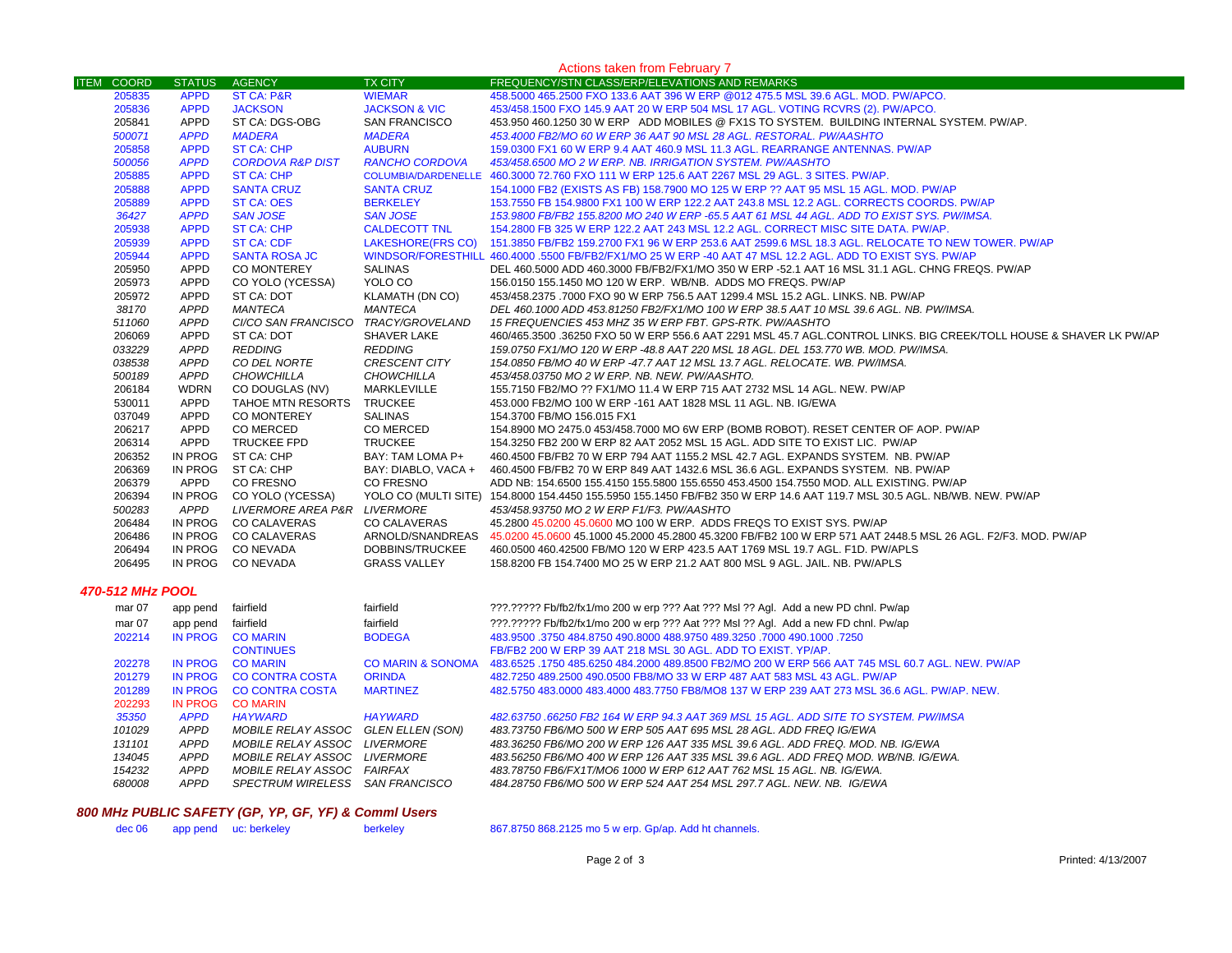| <b>Actions taken from February 7</b> |               |                              |                          |                                                                                                                                |  |
|--------------------------------------|---------------|------------------------------|--------------------------|--------------------------------------------------------------------------------------------------------------------------------|--|
| <b>ITEM COORD</b>                    | <b>STATUS</b> | <b>AGENCY</b>                | <b>TX CITY</b>           | FREQUENCY/STN CLASS/ERP/ELEVATIONS AND REMARKS                                                                                 |  |
| 205835                               | <b>APPD</b>   | <b>ST CA: P&amp;R</b>        | <b>WIEMAR</b>            | 458,5000 465,2500 FXO 133.6 AAT 396 W ERP @012 475.5 MSL 39.6 AGL, MOD, PW/APCO,                                               |  |
| 205836                               | <b>APPD</b>   | <b>JACKSON</b>               | <b>JACKSON &amp; VIC</b> | 453/458.1500 FXO 145.9 AAT 20 W ERP 504 MSL 17 AGL. VOTING RCVRS (2). PW/APCO.                                                 |  |
| 205841                               | <b>APPD</b>   | ST CA: DGS-OBG               | <b>SAN FRANCISCO</b>     | 453.950 460.1250 30 W ERP ADD MOBILES @ FX1S TO SYSTEM. BUILDING INTERNAL SYSTEM. PW/AP.                                       |  |
| 500071                               | <b>APPD</b>   | <b>MADERA</b>                | <b>MADERA</b>            | 453.4000 FB2/MO 60 W ERP 36 AAT 90 MSL 28 AGL. RESTORAL. PW/AASHTO                                                             |  |
| 205858                               | <b>APPD</b>   | <b>ST CA: CHP</b>            | <b>AUBURN</b>            | 159.0300 FX1 60 W ERP 9.4 AAT 460.9 MSL 11.3 AGL. REARRANGE ANTENNAS. PW/AP                                                    |  |
| 500056                               | <b>APPD</b>   | <b>CORDOVA R&amp;P DIST</b>  | <b>RANCHO CORDOVA</b>    | 453/458.6500 MO 2 W ERP. NB. IRRIGATION SYSTEM. PW/AASHTO                                                                      |  |
| 205885                               | <b>APPD</b>   | ST CA: CHP                   |                          | COLUMBIA/DARDENELLE 460.3000 72.760 FXO 111 W ERP 125.6 AAT 2267 MSL 29 AGL, 3 SITES, PW/AP,                                   |  |
| 205888                               | <b>APPD</b>   | <b>SANTA CRUZ</b>            | <b>SANTA CRUZ</b>        | 154.1000 FB2 (EXISTS AS FB) 158.7900 MO 125 W ERP ?? AAT 95 MSL 15 AGL. MOD. PW/AP                                             |  |
| 205889                               | <b>APPD</b>   | <b>ST CA: OES</b>            | <b>BERKELEY</b>          | 153.7550 FB 154.9800 FX1 100 W ERP 122.2 AAT 243.8 MSL 12.2 AGL. CORRECTS COORDS. PW/AP                                        |  |
| 36427                                | <b>APPD</b>   | <b>SAN JOSE</b>              | <b>SAN JOSE</b>          | 153.9800 FB/FB2 155.8200 MO 240 W ERP -65.5 AAT 61 MSL 44 AGL. ADD TO EXIST SYS. PW/IMSA.                                      |  |
| 205938                               | <b>APPD</b>   | <b>ST CA: CHP</b>            | <b>CALDECOTT TNL</b>     | 154.2800 FB 325 W ERP 122.2 AAT 243 MSL 12.2 AGL. CORRECT MISC SITE DATA. PW/AP.                                               |  |
| 205939                               | <b>APPD</b>   | <b>ST CA: CDF</b>            |                          | LAKESHORE(FRS CO) 151.3850 FB/FB2 159.2700 FX1 96 W ERP 253.6 AAT 2599.6 MSL 18.3 AGL. RELOCATE TO NEW TOWER. PW/AP            |  |
| 205944                               | <b>APPD</b>   | <b>SANTA ROSA JC</b>         |                          | WINDSOR/FORESTHILL 460.4000 .5500 FB/FB2/FX1/MO 25 W ERP -40 AAT 47 MSL 12.2 AGL. ADD TO EXIST SYS. PW/AP                      |  |
| 205950                               | APPD          | CO MONTEREY                  | <b>SALINAS</b>           | DEL 460.5000 ADD 460.3000 FB/FB2/FX1/MO 350 W ERP -52.1 AAT 16 MSL 31.1 AGL. CHNG FREQS. PW/AP                                 |  |
| 205973                               | APPD          | CO YOLO (YCESSA)             | YOLO CO                  | 156.0150 155.1450 MO 120 W ERP. WB/NB. ADDS MO FREQS. PW/AP                                                                    |  |
| 205972                               | APPD          | ST CA: DOT                   | KLAMATH (DN CO)          | 453/458.2375 .7000 FXO 90 W ERP 756.5 AAT 1299.4 MSL 15.2 AGL. LINKS. NB. PW/AP                                                |  |
| 38170                                | <b>APPD</b>   | MANTECA                      | <b>MANTECA</b>           | DEL 460.1000 ADD 453.81250 FB2/FX1/MO 100 W ERP 38.5 AAT 10 MSL 39.6 AGL. NB. PW/IMSA.                                         |  |
| 511060                               | <b>APPD</b>   | CI/CO SAN FRANCISCO          | <i>TRACY/GROVELAND</i>   | 15 FREQUENCIES 453 MHZ 35 W ERP FBT. GPS-RTK. PW/AASHTO                                                                        |  |
| 206069                               | APPD          | ST CA: DOT                   | <b>SHAVER LAKE</b>       | 460/465.3500 .36250 FXO 50 W ERP 556.6 AAT 2291 MSL 45.7 AGL.CONTROL LINKS. BIG CREEK/TOLL HOUSE & SHAVER LK PW/AP             |  |
| 033229                               | <b>APPD</b>   | <b>REDDING</b>               | <b>REDDING</b>           | 159.0750 FX1/MO 120 W ERP -48.8 AAT 220 MSL 18 AGL. DEL 153.770 WB. MOD. PW/IMSA.                                              |  |
| 038538                               | APPD          | CO DEL NORTE                 | <b>CRESCENT CITY</b>     | 154.0850 FB/MO 40 W ERP -47.7 AAT 12 MSL 13.7 AGL. RELOCATE. WB. PW/IMSA.                                                      |  |
| 500189                               | <b>APPD</b>   | <b>CHOWCHILLA</b>            | <b>CHOWCHILLA</b>        | 453/458.03750 MO 2 W ERP. NB. NEW. PW/AASHTO.                                                                                  |  |
| 206184                               | <b>WDRN</b>   | CO DOUGLAS (NV)              | MARKLEVILLE              | 155.7150 FB2/MO ?? FX1/MO 11.4 W ERP 715 AAT 2732 MSL 14 AGL. NEW. PW/AP                                                       |  |
| 530011                               | APPD          | TAHOE MTN RESORTS            | <b>TRUCKEE</b>           | 453,000 FB2/MO 100 W ERP -161 AAT 1828 MSL 11 AGL, NB, IG/EWA                                                                  |  |
| 037049                               | APPD          | CO MONTEREY                  | <b>SALINAS</b>           | 154.3700 FB/MO 156.015 FX1                                                                                                     |  |
| 206217                               | <b>APPD</b>   | <b>CO MERCED</b>             | <b>CO MERCED</b>         | 154.8900 MO 2475.0 453/458.7000 MO 6W ERP (BOMB ROBOT). RESET CENTER OF AOP. PW/AP                                             |  |
| 206314                               | APPD          | TRUCKEE FPD                  | <b>TRUCKEE</b>           | 154,3250 FB2 200 W ERP 82 AAT 2052 MSL 15 AGL, ADD SITE TO EXIST LIC. PW/AP                                                    |  |
| 206352                               | IN PROG       | ST CA: CHP                   | BAY: TAM LOMA P+         | 460.4500 FB/FB2 70 W ERP 794 AAT 1155.2 MSL 42.7 AGL. EXPANDS SYSTEM. NB. PW/AP                                                |  |
| 206369                               | IN PROG       | ST CA: CHP                   | BAY: DIABLO, VACA +      | 460.4500 FB/FB2 70 W ERP 849 AAT 1432.6 MSL 36.6 AGL. EXPANDS SYSTEM. NB. PW/AP                                                |  |
| 206379                               | APPD          | <b>CO FRESNO</b>             | <b>CO FRESNO</b>         | ADD NB: 154.6500 155.4150 155.5800 155.6550 453.4500 154.7550 MOD. ALL EXISTING. PW/AP                                         |  |
| 206394                               | IN PROG       | CO YOLO (YCESSA)             |                          | YOLO CO (MULTI SITE) 154.8000 154.4450 155.5950 155.1450 FB/FB2 350 W ERP 14.6 AAT 119.7 MSL 30.5 AGL. NB/WB. NEW. PW/AP       |  |
| 500283                               | APPD          | LIVERMORE AREA P&R LIVERMORE |                          | 453/458.93750 MO 2 W ERP F1/F3. PW/AASHTO                                                                                      |  |
| 206484                               |               | IN PROG CO CALAVERAS         | <b>CO CALAVERAS</b>      | 45,2800 45,0200 45,0600 MO 100 W ERP. ADDS FREQS TO EXIST SYS. PW/AP                                                           |  |
| 206486                               |               | IN PROG CO CALAVERAS         |                          | ARNOLD/SNANDREAS 45.0200 45.0600 45.1000 45.2000 45.2800 45.3200 FB/FB2 100 W ERP 571 AAT 2448.5 MSL 26 AGL. F2/F3. MOD. PW/AP |  |
| 206494                               |               | IN PROG CONEVADA             | DOBBINS/TRUCKEE          | 460.0500 460.42500 FB/MO 120 W ERP 423.5 AAT 1769 MSL 19.7 AGL. F1D. PW/APLS                                                   |  |
| 206495                               |               | IN PROG CONEVADA             | <b>GRASS VALLEY</b>      | 158,8200 FB 154,7400 MO 25 W ERP 21.2 AAT 800 MSL 9 AGL. JAIL. NB. PW/APLS                                                     |  |
| 470-512 MHz POOL                     |               |                              |                          |                                                                                                                                |  |
| mar 07                               | app pend      | fairfield                    | fairfield                | ???.????? Fb/fb2/fx1/mo 200 w erp ??? Aat ??? Msl ?? Agl. Add a new PD chnl. Pw/ap                                             |  |
|                                      |               |                              |                          |                                                                                                                                |  |

| IIIAI VI | app penu    | <u>ialilielu</u>           | <u>iailliciu</u>  | ff:::ff:::i D/IDZ/IX I/IIIO ZOO W EIP ff: Adt ff: MSI ff Agi. Add a flew FD Cliffi. Fw/ap       |
|----------|-------------|----------------------------|-------------------|-------------------------------------------------------------------------------------------------|
| mar 07   | app pend    | fairfield                  | fairfield         | ???.????? Fb/fb2/fx1/mo 200 w erp ??? Aat ??? Msl ?? Agl. Add a new FD chnl. Pw/ap              |
| 202214   | IN PROG     | <b>CO MARIN</b>            | <b>BODEGA</b>     | 483,9500 .3750 484 8750 490 8000 488 9750 489 3250 .7000 490 1000 .7250                         |
|          |             | <b>CONTINUES</b>           |                   | FB/FB2 200 W ERP 39 AAT 218 MSL 30 AGL. ADD TO EXIST, YP/AP.                                    |
| 202278   | IN PROG     | <b>CO MARIN</b>            | CO MARIN & SONOMA | 483.6525 .1750 485.6250 484.2000 489.8500 FB2/MO 200 W ERP 566 AAT 745 MSL 60.7 AGL. NEW. PW/AP |
| 201279   | IN PROG     | CO CONTRA COSTA            | <b>ORINDA</b>     | 482.7250 489.2500 490.0500 FB8/MO 33 W ERP 487 AAT 583 MSL 43 AGL. PW/AP                        |
| 201289   | IN PROG     | CO CONTRA COSTA            | <b>MARTINEZ</b>   | 482.5750 483.0000 483.4000 483.7750 FB8/MO8 137 W ERP 239 AAT 273 MSL 36.6 AGL. PW/AP. NEW.     |
| 202293   | IN PROG     | <b>CO MARIN</b>            |                   |                                                                                                 |
| 35350    | <b>APPD</b> | <b>HAYWARD</b>             | <b>HAYWARD</b>    | 482.63750.66250 FB2 164 W ERP 94.3 AAT 369 MSL 15 AGL. ADD SITE TO SYSTEM. PW/IMSA              |
| 101029   | <b>APPD</b> | MOBILE RELAY ASSOC         | GLEN ELLEN (SON)  | 483.73750 FB6/MO 500 W ERP 505 AAT 695 MSL 28 AGL. ADD FREQ IG/EWA                              |
| 131101   | <b>APPD</b> | <i>MOBILE RELAY ASSOC</i>  | <i>LIVERMORE</i>  | 483.36250 FB6/MO 200 W ERP 126 AAT 335 MSL 39.6 AGL. ADD FREO. MOD. NB. IG/EWA                  |
| 134045   | <b>APPD</b> | MOBILE RELAY ASSOC         | LIVERMORE         | 483.56250 FB6/MO 400 W ERP 126 AAT 335 MSL 39.6 AGL. ADD FREQ MOD. WB/NB. IG/EWA.               |
| 154232   | <b>APPD</b> | MOBILE RELAY ASSOC FAIRFAX |                   | 483.78750 FB6/FX1T/MO6 1000 W ERP 612 AAT 762 MSL 15 AGL. NB. IG/EWA.                           |
| 680008   | APPD        | <i>SPECTRUM WIRELESS</i>   | SAN FRANCISCO     | 484.28750 FB6/MO 500 W ERP 524 AAT 254 MSL 297.7 AGL. NEW. NB. IG/EWA                           |
|          |             |                            |                   |                                                                                                 |

## *800 MHz PUBLIC SAFETY (GP, YP, GF, YF) & Comml Users*

867.8750 868.2125 mo 5 w erp. Gp/ap. Add ht channels.